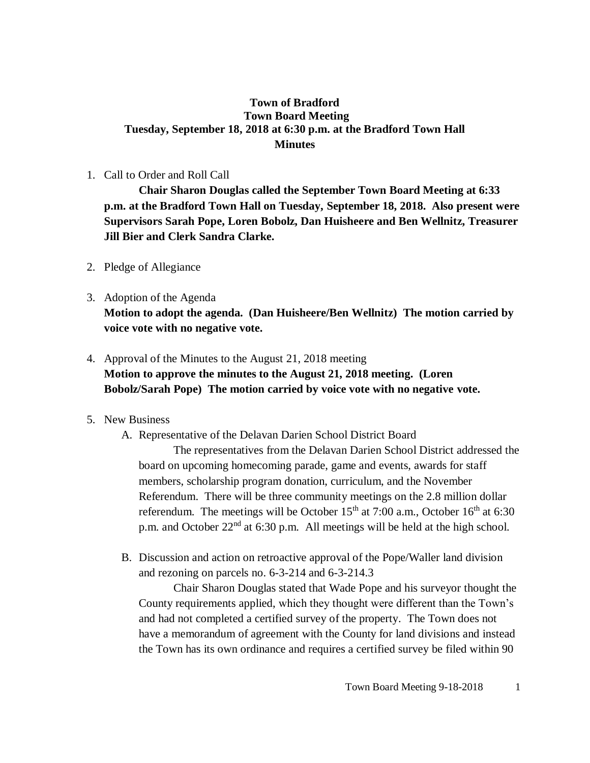## **Town of Bradford Town Board Meeting Tuesday, September 18, 2018 at 6:30 p.m. at the Bradford Town Hall Minutes**

### 1. Call to Order and Roll Call

**Chair Sharon Douglas called the September Town Board Meeting at 6:33 p.m. at the Bradford Town Hall on Tuesday, September 18, 2018. Also present were Supervisors Sarah Pope, Loren Bobolz, Dan Huisheere and Ben Wellnitz, Treasurer Jill Bier and Clerk Sandra Clarke.**

- 2. Pledge of Allegiance
- 3. Adoption of the Agenda **Motion to adopt the agenda. (Dan Huisheere/Ben Wellnitz) The motion carried by voice vote with no negative vote.**
- 4. Approval of the Minutes to the August 21, 2018 meeting **Motion to approve the minutes to the August 21, 2018 meeting. (Loren Bobolz/Sarah Pope) The motion carried by voice vote with no negative vote.**

# 5. New Business

A. Representative of the Delavan Darien School District Board

The representatives from the Delavan Darien School District addressed the board on upcoming homecoming parade, game and events, awards for staff members, scholarship program donation, curriculum, and the November Referendum. There will be three community meetings on the 2.8 million dollar referendum. The meetings will be October  $15<sup>th</sup>$  at 7:00 a.m., October  $16<sup>th</sup>$  at 6:30 p.m. and October  $22<sup>nd</sup>$  at 6:30 p.m. All meetings will be held at the high school.

B. Discussion and action on retroactive approval of the Pope/Waller land division and rezoning on parcels no. 6-3-214 and 6-3-214.3

Chair Sharon Douglas stated that Wade Pope and his surveyor thought the County requirements applied, which they thought were different than the Town's and had not completed a certified survey of the property. The Town does not have a memorandum of agreement with the County for land divisions and instead the Town has its own ordinance and requires a certified survey be filed within 90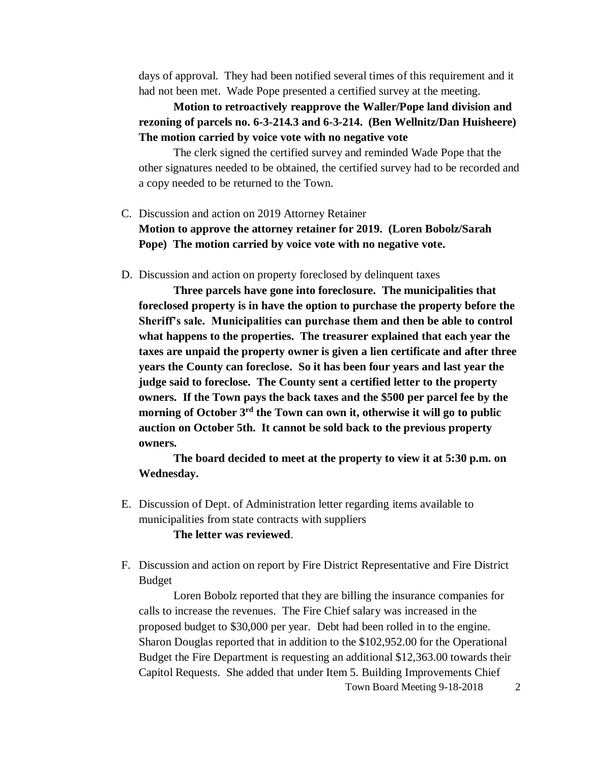days of approval. They had been notified several times of this requirement and it had not been met. Wade Pope presented a certified survey at the meeting.

**Motion to retroactively reapprove the Waller/Pope land division and rezoning of parcels no. 6-3-214.3 and 6-3-214. (Ben Wellnitz/Dan Huisheere) The motion carried by voice vote with no negative vote**

The clerk signed the certified survey and reminded Wade Pope that the other signatures needed to be obtained, the certified survey had to be recorded and a copy needed to be returned to the Town.

- C. Discussion and action on 2019 Attorney Retainer **Motion to approve the attorney retainer for 2019. (Loren Bobolz/Sarah Pope) The motion carried by voice vote with no negative vote.**
- D. Discussion and action on property foreclosed by delinquent taxes

**Three parcels have gone into foreclosure. The municipalities that foreclosed property is in have the option to purchase the property before the Sheriff's sale. Municipalities can purchase them and then be able to control what happens to the properties. The treasurer explained that each year the taxes are unpaid the property owner is given a lien certificate and after three years the County can foreclose. So it has been four years and last year the judge said to foreclose. The County sent a certified letter to the property owners. If the Town pays the back taxes and the \$500 per parcel fee by the morning of October 3rd the Town can own it, otherwise it will go to public auction on October 5th. It cannot be sold back to the previous property owners.**

**The board decided to meet at the property to view it at 5:30 p.m. on Wednesday.**

E. Discussion of Dept. of Administration letter regarding items available to municipalities from state contracts with suppliers

**The letter was reviewed**.

F. Discussion and action on report by Fire District Representative and Fire District Budget

Town Board Meeting 9-18-2018 2 Loren Bobolz reported that they are billing the insurance companies for calls to increase the revenues. The Fire Chief salary was increased in the proposed budget to \$30,000 per year. Debt had been rolled in to the engine. Sharon Douglas reported that in addition to the \$102,952.00 for the Operational Budget the Fire Department is requesting an additional \$12,363.00 towards their Capitol Requests. She added that under Item 5. Building Improvements Chief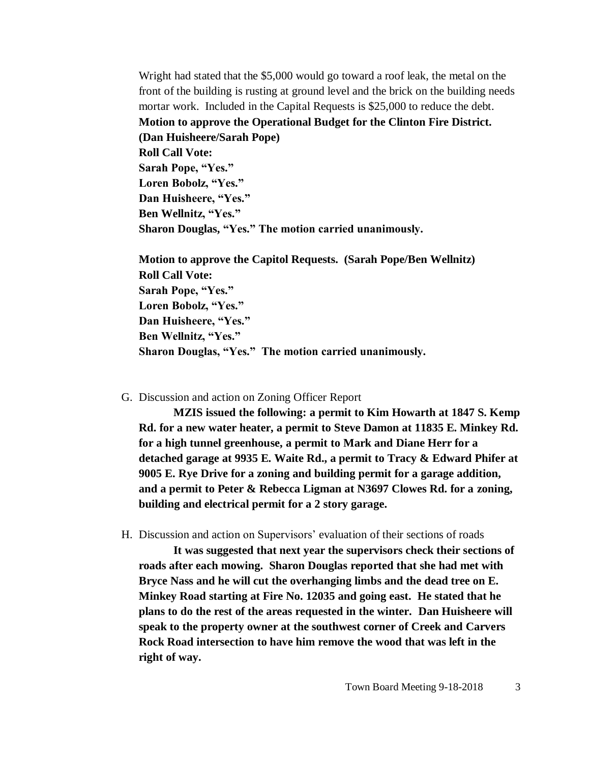Wright had stated that the \$5,000 would go toward a roof leak, the metal on the front of the building is rusting at ground level and the brick on the building needs mortar work. Included in the Capital Requests is \$25,000 to reduce the debt. **Motion to approve the Operational Budget for the Clinton Fire District. (Dan Huisheere/Sarah Pope) Roll Call Vote: Sarah Pope, "Yes." Loren Bobolz, "Yes." Dan Huisheere, "Yes." Ben Wellnitz, "Yes." Sharon Douglas, "Yes." The motion carried unanimously.**

**Motion to approve the Capitol Requests. (Sarah Pope/Ben Wellnitz) Roll Call Vote: Sarah Pope, "Yes." Loren Bobolz, "Yes." Dan Huisheere, "Yes." Ben Wellnitz, "Yes." Sharon Douglas, "Yes." The motion carried unanimously.**

### G. Discussion and action on Zoning Officer Report

**MZIS issued the following: a permit to Kim Howarth at 1847 S. Kemp Rd. for a new water heater, a permit to Steve Damon at 11835 E. Minkey Rd. for a high tunnel greenhouse, a permit to Mark and Diane Herr for a detached garage at 9935 E. Waite Rd., a permit to Tracy & Edward Phifer at 9005 E. Rye Drive for a zoning and building permit for a garage addition, and a permit to Peter & Rebecca Ligman at N3697 Clowes Rd. for a zoning, building and electrical permit for a 2 story garage.**

#### H. Discussion and action on Supervisors' evaluation of their sections of roads

**It was suggested that next year the supervisors check their sections of roads after each mowing. Sharon Douglas reported that she had met with Bryce Nass and he will cut the overhanging limbs and the dead tree on E. Minkey Road starting at Fire No. 12035 and going east. He stated that he plans to do the rest of the areas requested in the winter. Dan Huisheere will speak to the property owner at the southwest corner of Creek and Carvers Rock Road intersection to have him remove the wood that was left in the right of way.**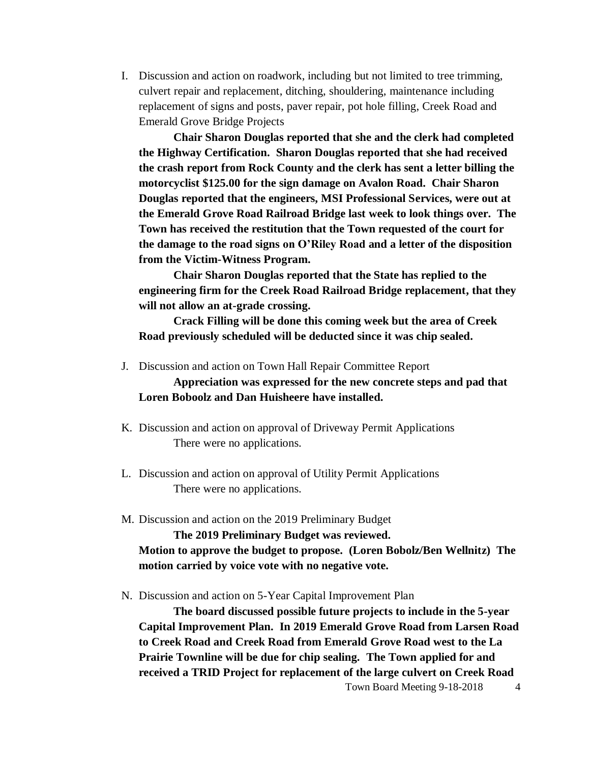I. Discussion and action on roadwork, including but not limited to tree trimming, culvert repair and replacement, ditching, shouldering, maintenance including replacement of signs and posts, paver repair, pot hole filling, Creek Road and Emerald Grove Bridge Projects

**Chair Sharon Douglas reported that she and the clerk had completed the Highway Certification. Sharon Douglas reported that she had received the crash report from Rock County and the clerk has sent a letter billing the motorcyclist \$125.00 for the sign damage on Avalon Road. Chair Sharon Douglas reported that the engineers, MSI Professional Services, were out at the Emerald Grove Road Railroad Bridge last week to look things over. The Town has received the restitution that the Town requested of the court for the damage to the road signs on O'Riley Road and a letter of the disposition from the Victim-Witness Program.**

**Chair Sharon Douglas reported that the State has replied to the engineering firm for the Creek Road Railroad Bridge replacement, that they will not allow an at-grade crossing.**

**Crack Filling will be done this coming week but the area of Creek Road previously scheduled will be deducted since it was chip sealed.** 

J. Discussion and action on Town Hall Repair Committee Report

# **Appreciation was expressed for the new concrete steps and pad that Loren Boboolz and Dan Huisheere have installed.**

- K. Discussion and action on approval of Driveway Permit Applications There were no applications.
- L. Discussion and action on approval of Utility Permit Applications There were no applications.
- M. Discussion and action on the 2019 Preliminary Budget

**The 2019 Preliminary Budget was reviewed. Motion to approve the budget to propose. (Loren Bobolz/Ben Wellnitz) The motion carried by voice vote with no negative vote.**

N. Discussion and action on 5-Year Capital Improvement Plan

**The board discussed possible future projects to include in the 5-year Capital Improvement Plan. In 2019 Emerald Grove Road from Larsen Road to Creek Road and Creek Road from Emerald Grove Road west to the La Prairie Townline will be due for chip sealing. The Town applied for and received a TRID Project for replacement of the large culvert on Creek Road**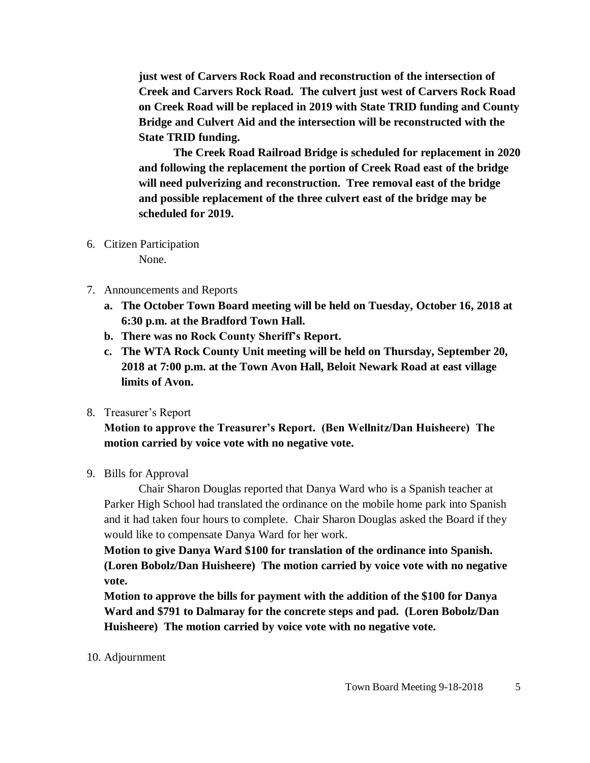**just west of Carvers Rock Road and reconstruction of the intersection of Creek and Carvers Rock Road. The culvert just west of Carvers Rock Road on Creek Road will be replaced in 2019 with State TRID funding and County Bridge and Culvert Aid and the intersection will be reconstructed with the State TRID funding.** 

**The Creek Road Railroad Bridge is scheduled for replacement in 2020 and following the replacement the portion of Creek Road east of the bridge will need pulverizing and reconstruction. Tree removal east of the bridge and possible replacement of the three culvert east of the bridge may be scheduled for 2019.**

- 6. Citizen Participation None.
- 7. Announcements and Reports
	- **a. The October Town Board meeting will be held on Tuesday, October 16, 2018 at 6:30 p.m. at the Bradford Town Hall.**
	- **b. There was no Rock County Sheriff's Report.**
	- **c. The WTA Rock County Unit meeting will be held on Thursday, September 20, 2018 at 7:00 p.m. at the Town Avon Hall, Beloit Newark Road at east village limits of Avon.**
- 8. Treasurer's Report

**Motion to approve the Treasurer's Report. (Ben Wellnitz/Dan Huisheere) The motion carried by voice vote with no negative vote.**

9. Bills for Approval

Chair Sharon Douglas reported that Danya Ward who is a Spanish teacher at Parker High School had translated the ordinance on the mobile home park into Spanish and it had taken four hours to complete. Chair Sharon Douglas asked the Board if they would like to compensate Danya Ward for her work.

**Motion to give Danya Ward \$100 for translation of the ordinance into Spanish. (Loren Bobolz/Dan Huisheere) The motion carried by voice vote with no negative vote.**

**Motion to approve the bills for payment with the addition of the \$100 for Danya Ward and \$791 to Dalmaray for the concrete steps and pad. (Loren Bobolz/Dan Huisheere) The motion carried by voice vote with no negative vote.**